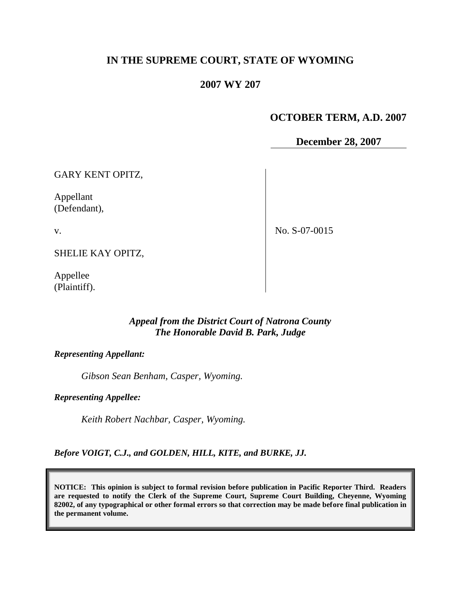# **IN THE SUPREME COURT, STATE OF WYOMING**

### **2007 WY 207**

## **OCTOBER TERM, A.D. 2007**

**December 28, 2007**

GARY KENT OPITZ,

Appellant (Defendant),

v.

No. S-07-0015

SHELIE KAY OPITZ,

Appellee (Plaintiff).

#### *Appeal from the District Court of Natrona County The Honorable David B. Park, Judge*

*Representing Appellant:*

*Gibson Sean Benham, Casper, Wyoming.*

*Representing Appellee:*

*Keith Robert Nachbar, Casper, Wyoming.*

*Before VOIGT, C.J., and GOLDEN, HILL, KITE, and BURKE, JJ.*

**NOTICE: This opinion is subject to formal revision before publication in Pacific Reporter Third. Readers are requested to notify the Clerk of the Supreme Court, Supreme Court Building, Cheyenne, Wyoming 82002, of any typographical or other formal errors so that correction may be made before final publication in the permanent volume.**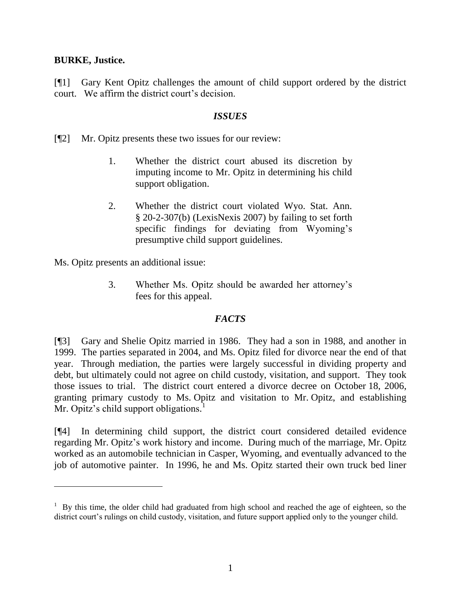### **BURKE, Justice.**

[¶1] Gary Kent Opitz challenges the amount of child support ordered by the district court. We affirm the district court's decision.

#### *ISSUES*

[¶2] Mr. Opitz presents these two issues for our review:

- 1. Whether the district court abused its discretion by imputing income to Mr. Opitz in determining his child support obligation.
- 2. Whether the district court violated Wyo. Stat. Ann. § 20-2-307(b) (LexisNexis 2007) by failing to set forth specific findings for deviating from Wyoming's presumptive child support guidelines.

Ms. Opitz presents an additional issue:

3. Whether Ms. Opitz should be awarded her attorney's fees for this appeal.

## *FACTS*

[¶3] Gary and Shelie Opitz married in 1986. They had a son in 1988, and another in 1999. The parties separated in 2004, and Ms. Opitz filed for divorce near the end of that year. Through mediation, the parties were largely successful in dividing property and debt, but ultimately could not agree on child custody, visitation, and support. They took those issues to trial. The district court entered a divorce decree on October 18, 2006, granting primary custody to Ms. Opitz and visitation to Mr. Opitz, and establishing Mr. Opitz's child support obligations. $<sup>1</sup>$ </sup>

[¶4] In determining child support, the district court considered detailed evidence regarding Mr. Opitz's work history and income. During much of the marriage, Mr. Opitz worked as an automobile technician in Casper, Wyoming, and eventually advanced to the job of automotive painter. In 1996, he and Ms. Opitz started their own truck bed liner

 $1$  By this time, the older child had graduated from high school and reached the age of eighteen, so the district court's rulings on child custody, visitation, and future support applied only to the younger child.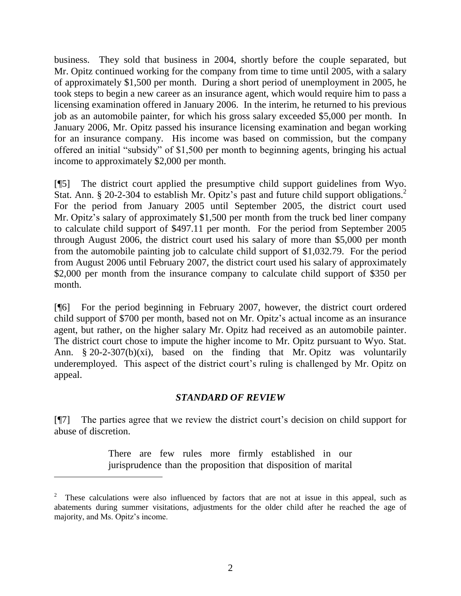business. They sold that business in 2004, shortly before the couple separated, but Mr. Opitz continued working for the company from time to time until 2005, with a salary of approximately \$1,500 per month. During a short period of unemployment in 2005, he took steps to begin a new career as an insurance agent, which would require him to pass a licensing examination offered in January 2006. In the interim, he returned to his previous job as an automobile painter, for which his gross salary exceeded \$5,000 per month. In January 2006, Mr. Opitz passed his insurance licensing examination and began working for an insurance company. His income was based on commission, but the company offered an initial "subsidy" of \$1,500 per month to beginning agents, bringing his actual income to approximately \$2,000 per month.

[¶5] The district court applied the presumptive child support guidelines from Wyo. Stat. Ann. § 20-2-304 to establish Mr. Opitz's past and future child support obligations.<sup>2</sup> For the period from January 2005 until September 2005, the district court used Mr. Opitz's salary of approximately \$1,500 per month from the truck bed liner company to calculate child support of \$497.11 per month. For the period from September 2005 through August 2006, the district court used his salary of more than \$5,000 per month from the automobile painting job to calculate child support of \$1,032.79. For the period from August 2006 until February 2007, the district court used his salary of approximately \$2,000 per month from the insurance company to calculate child support of \$350 per month.

[¶6] For the period beginning in February 2007, however, the district court ordered child support of \$700 per month, based not on Mr. Opitz's actual income as an insurance agent, but rather, on the higher salary Mr. Opitz had received as an automobile painter. The district court chose to impute the higher income to Mr. Opitz pursuant to Wyo. Stat. Ann. § 20-2-307(b)(xi), based on the finding that Mr. Opitz was voluntarily underemployed. This aspect of the district court's ruling is challenged by Mr. Opitz on appeal.

#### *STANDARD OF REVIEW*

[¶7] The parties agree that we review the district court's decision on child support for abuse of discretion.

> There are few rules more firmly established in our jurisprudence than the proposition that disposition of marital

 $\overline{a}$ 

<sup>2</sup> These calculations were also influenced by factors that are not at issue in this appeal, such as abatements during summer visitations, adjustments for the older child after he reached the age of majority, and Ms. Opitz's income.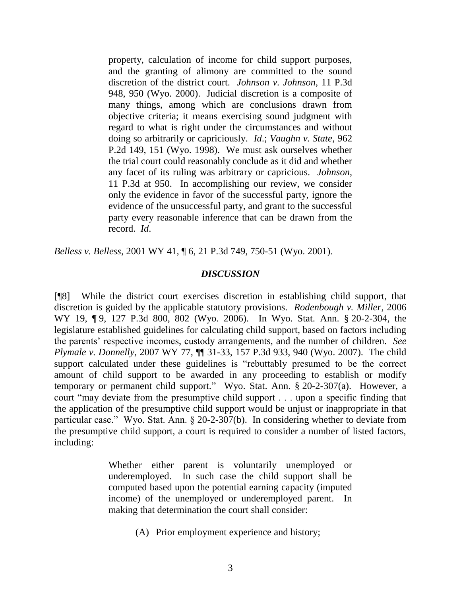property, calculation of income for child support purposes, and the granting of alimony are committed to the sound discretion of the district court. *Johnson v. Johnson*, 11 P.3d 948, 950 (Wyo. 2000). Judicial discretion is a composite of many things, among which are conclusions drawn from objective criteria; it means exercising sound judgment with regard to what is right under the circumstances and without doing so arbitrarily or capriciously. *Id*.; *Vaughn v. State*, 962 P.2d 149, 151 (Wyo. 1998). We must ask ourselves whether the trial court could reasonably conclude as it did and whether any facet of its ruling was arbitrary or capricious. *Johnson*, 11 P.3d at 950. In accomplishing our review, we consider only the evidence in favor of the successful party, ignore the evidence of the unsuccessful party, and grant to the successful party every reasonable inference that can be drawn from the record. *Id*.

*Belless v. Belless*, 2001 WY 41, ¶ 6, 21 P.3d 749, 750-51 (Wyo. 2001).

#### *DISCUSSION*

[¶8] While the district court exercises discretion in establishing child support, that discretion is guided by the applicable statutory provisions. *Rodenbough v. Miller*, 2006 WY 19, 19, 127 P.3d 800, 802 (Wyo. 2006). In Wyo. Stat. Ann. § 20-2-304, the legislature established guidelines for calculating child support, based on factors including the parents' respective incomes, custody arrangements, and the number of children. *See Plymale v. Donnelly*, 2007 WY 77, ¶¶ 31-33, 157 P.3d 933, 940 (Wyo. 2007). The child support calculated under these guidelines is "rebuttably presumed to be the correct amount of child support to be awarded in any proceeding to establish or modify temporary or permanent child support." Wyo. Stat. Ann. § 20-2-307(a). However, a court "may deviate from the presumptive child support . . . upon a specific finding that the application of the presumptive child support would be unjust or inappropriate in that particular case." Wyo. Stat. Ann. § 20-2-307(b). In considering whether to deviate from the presumptive child support, a court is required to consider a number of listed factors, including:

> Whether either parent is voluntarily unemployed or underemployed. In such case the child support shall be computed based upon the potential earning capacity (imputed income) of the unemployed or underemployed parent. In making that determination the court shall consider:

> > (A) Prior employment experience and history;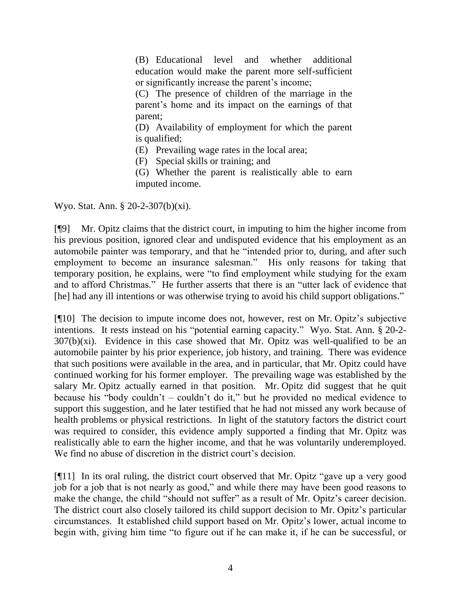(B) Educational level and whether additional education would make the parent more self-sufficient or significantly increase the parent's income;

(C) The presence of children of the marriage in the parent's home and its impact on the earnings of that parent;

(D) Availability of employment for which the parent is qualified;

(E) Prevailing wage rates in the local area;

(F) Special skills or training; and

(G) Whether the parent is realistically able to earn imputed income.

Wyo. Stat. Ann. § 20-2-307(b)(xi).

[¶9] Mr. Opitz claims that the district court, in imputing to him the higher income from his previous position, ignored clear and undisputed evidence that his employment as an automobile painter was temporary, and that he "intended prior to, during, and after such employment to become an insurance salesman." His only reasons for taking that temporary position, he explains, were "to find employment while studying for the exam and to afford Christmas." He further asserts that there is an "utter lack of evidence that [he] had any ill intentions or was otherwise trying to avoid his child support obligations."

[¶10] The decision to impute income does not, however, rest on Mr. Opitz's subjective intentions. It rests instead on his "potential earning capacity." Wyo. Stat. Ann. § 20-2-  $307(b)(xi)$ . Evidence in this case showed that Mr. Opitz was well-qualified to be an automobile painter by his prior experience, job history, and training. There was evidence that such positions were available in the area, and in particular, that Mr. Opitz could have continued working for his former employer. The prevailing wage was established by the salary Mr. Opitz actually earned in that position. Mr. Opitz did suggest that he quit because his "body couldn't – couldn't do it," but he provided no medical evidence to support this suggestion, and he later testified that he had not missed any work because of health problems or physical restrictions. In light of the statutory factors the district court was required to consider, this evidence amply supported a finding that Mr. Opitz was realistically able to earn the higher income, and that he was voluntarily underemployed. We find no abuse of discretion in the district court's decision.

[¶11] In its oral ruling, the district court observed that Mr. Opitz "gave up a very good job for a job that is not nearly as good," and while there may have been good reasons to make the change, the child "should not suffer" as a result of Mr. Opitz's career decision. The district court also closely tailored its child support decision to Mr. Opitz's particular circumstances. It established child support based on Mr. Opitz's lower, actual income to begin with, giving him time "to figure out if he can make it, if he can be successful, or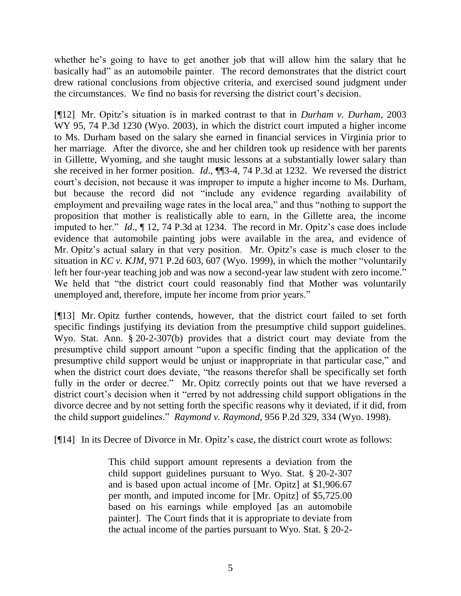whether he's going to have to get another job that will allow him the salary that he basically had" as an automobile painter. The record demonstrates that the district court drew rational conclusions from objective criteria, and exercised sound judgment under the circumstances. We find no basis for reversing the district court's decision.

[¶12] Mr. Opitz's situation is in marked contrast to that in *Durham v. Durham*, 2003 WY 95, 74 P.3d 1230 (Wyo. 2003), in which the district court imputed a higher income to Ms. Durham based on the salary she earned in financial services in Virginia prior to her marriage. After the divorce, she and her children took up residence with her parents in Gillette, Wyoming, and she taught music lessons at a substantially lower salary than she received in her former position. *Id*., ¶¶3-4, 74 P.3d at 1232. We reversed the district court's decision, not because it was improper to impute a higher income to Ms. Durham, but because the record did not "include any evidence regarding availability of employment and prevailing wage rates in the local area," and thus "nothing to support the proposition that mother is realistically able to earn, in the Gillette area, the income imputed to her." *Id*., ¶ 12, 74 P.3d at 1234. The record in Mr. Opitz's case does include evidence that automobile painting jobs were available in the area, and evidence of Mr. Opitz's actual salary in that very position. Mr. Opitz's case is much closer to the situation in *KC v. KJM*, 971 P.2d 603, 607 (Wyo. 1999), in which the mother "voluntarily left her four-year teaching job and was now a second-year law student with zero income." We held that "the district court could reasonably find that Mother was voluntarily unemployed and, therefore, impute her income from prior years."

[¶13] Mr. Opitz further contends, however, that the district court failed to set forth specific findings justifying its deviation from the presumptive child support guidelines. Wyo. Stat. Ann. § 20-2-307(b) provides that a district court may deviate from the presumptive child support amount "upon a specific finding that the application of the presumptive child support would be unjust or inappropriate in that particular case," and when the district court does deviate, "the reasons therefor shall be specifically set forth fully in the order or decree." Mr. Opitz correctly points out that we have reversed a district court's decision when it "erred by not addressing child support obligations in the divorce decree and by not setting forth the specific reasons why it deviated, if it did, from the child support guidelines." *Raymond v. Raymond*, 956 P.2d 329, 334 (Wyo. 1998).

[¶14] In its Decree of Divorce in Mr. Opitz's case, the district court wrote as follows:

This child support amount represents a deviation from the child support guidelines pursuant to Wyo. Stat. § 20-2-307 and is based upon actual income of [Mr. Opitz] at \$1,906.67 per month, and imputed income for [Mr. Opitz] of \$5,725.00 based on his earnings while employed [as an automobile painter]. The Court finds that it is appropriate to deviate from the actual income of the parties pursuant to Wyo. Stat. § 20-2-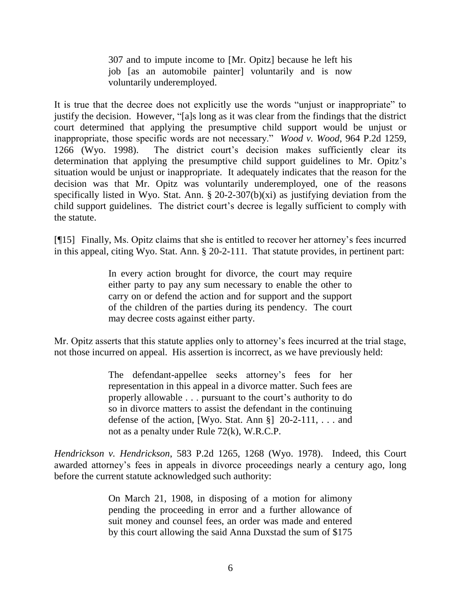307 and to impute income to [Mr. Opitz] because he left his job [as an automobile painter] voluntarily and is now voluntarily underemployed.

It is true that the decree does not explicitly use the words "unjust or inappropriate" to justify the decision. However, "[a]s long as it was clear from the findings that the district court determined that applying the presumptive child support would be unjust or inappropriate, those specific words are not necessary." *Wood v. Wood*, 964 P.2d 1259, 1266 (Wyo. 1998). The district court's decision makes sufficiently clear its determination that applying the presumptive child support guidelines to Mr. Opitz's situation would be unjust or inappropriate. It adequately indicates that the reason for the decision was that Mr. Opitz was voluntarily underemployed, one of the reasons specifically listed in Wyo. Stat. Ann.  $\S 20$ -2-307(b)(xi) as justifying deviation from the child support guidelines. The district court's decree is legally sufficient to comply with the statute.

[¶15] Finally, Ms. Opitz claims that she is entitled to recover her attorney's fees incurred in this appeal, citing Wyo. Stat. Ann. § 20-2-111. That statute provides, in pertinent part:

> In every action brought for divorce, the court may require either party to pay any sum necessary to enable the other to carry on or defend the action and for support and the support of the children of the parties during its pendency. The court may decree costs against either party.

Mr. Opitz asserts that this statute applies only to attorney's fees incurred at the trial stage, not those incurred on appeal. His assertion is incorrect, as we have previously held:

> The defendant-appellee seeks attorney's fees for her representation in this appeal in a divorce matter. Such fees are properly allowable . . . pursuant to the court's authority to do so in divorce matters to assist the defendant in the continuing defense of the action, [Wyo. Stat. Ann §] 20-2-111, . . . and not as a penalty under Rule 72(k), W.R.C.P.

*Hendrickson v. Hendrickson*, 583 P.2d 1265, 1268 (Wyo. 1978). Indeed, this Court awarded attorney's fees in appeals in divorce proceedings nearly a century ago, long before the current statute acknowledged such authority:

> On March 21, 1908, in disposing of a motion for alimony pending the proceeding in error and a further allowance of suit money and counsel fees, an order was made and entered by this court allowing the said Anna Duxstad the sum of \$175